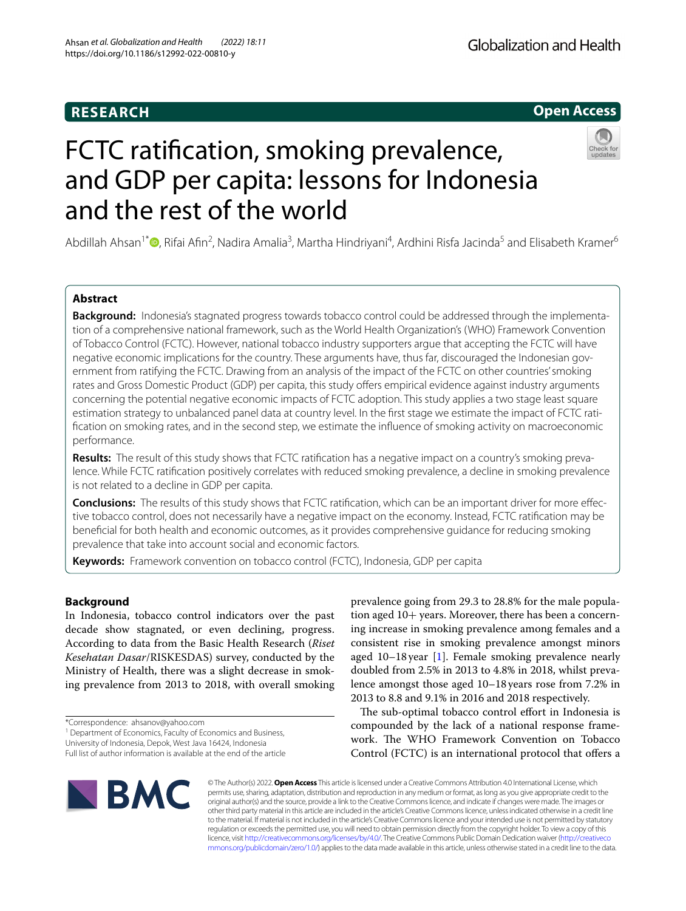# **RESEARCH**



# FCTC ratifcation, smoking prevalence, and GDP per capita: lessons for Indonesia and the rest of the world



Abdillah Ahsan<sup>1\*</sup>®[,](http://orcid.org/0000-0002-3543-7574) Rifai Afin<sup>2</sup>, Nadira Amalia<sup>3</sup>, Martha Hindriyani<sup>4</sup>, Ardhini Risfa Jacinda<sup>5</sup> and Elisabeth Kramer<sup>6</sup>

# **Abstract**

**Background:** Indonesia's stagnated progress towards tobacco control could be addressed through the implementation of a comprehensive national framework, such as the World Health Organization's (WHO) Framework Convention of Tobacco Control (FCTC). However, national tobacco industry supporters argue that accepting the FCTC will have negative economic implications for the country. These arguments have, thus far, discouraged the Indonesian government from ratifying the FCTC. Drawing from an analysis of the impact of the FCTC on other countries' smoking rates and Gross Domestic Product (GDP) per capita, this study offers empirical evidence against industry arguments concerning the potential negative economic impacts of FCTC adoption. This study applies a two stage least square estimation strategy to unbalanced panel data at country level. In the frst stage we estimate the impact of FCTC ratifcation on smoking rates, and in the second step, we estimate the infuence of smoking activity on macroeconomic performance.

**Results:** The result of this study shows that FCTC ratifcation has a negative impact on a country's smoking prevalence. While FCTC ratifcation positively correlates with reduced smoking prevalence, a decline in smoking prevalence is not related to a decline in GDP per capita.

**Conclusions:** The results of this study shows that FCTC ratifcation, which can be an important driver for more efective tobacco control, does not necessarily have a negative impact on the economy. Instead, FCTC ratifcation may be benefcial for both health and economic outcomes, as it provides comprehensive guidance for reducing smoking prevalence that take into account social and economic factors.

**Keywords:** Framework convention on tobacco control (FCTC), Indonesia, GDP per capita

# **Background**

In Indonesia, tobacco control indicators over the past decade show stagnated, or even declining, progress. According to data from the Basic Health Research (*Riset Kesehatan Dasar*/RISKESDAS) survey, conducted by the Ministry of Health, there was a slight decrease in smoking prevalence from 2013 to 2018, with overall smoking

<sup>1</sup> Department of Economics, Faculty of Economics and Business,

University of Indonesia, Depok, West Java 16424, Indonesia

prevalence going from 29.3 to 28.8% for the male population aged 10+ years. Moreover, there has been a concerning increase in smoking prevalence among females and a consistent rise in smoking prevalence amongst minors aged 10–18 year [\[1\]](#page-5-0). Female smoking prevalence nearly doubled from 2.5% in 2013 to 4.8% in 2018, whilst prevalence amongst those aged 10–18 years rose from 7.2% in 2013 to 8.8 and 9.1% in 2016 and 2018 respectively.

The sub-optimal tobacco control effort in Indonesia is compounded by the lack of a national response framework. The WHO Framework Convention on Tobacco Control (FCTC) is an international protocol that offers a



© The Author(s) 2022. **Open Access** This article is licensed under a Creative Commons Attribution 4.0 International License, which permits use, sharing, adaptation, distribution and reproduction in any medium or format, as long as you give appropriate credit to the original author(s) and the source, provide a link to the Creative Commons licence, and indicate if changes were made. The images or other third party material in this article are included in the article's Creative Commons licence, unless indicated otherwise in a credit line to the material. If material is not included in the article's Creative Commons licence and your intended use is not permitted by statutory regulation or exceeds the permitted use, you will need to obtain permission directly from the copyright holder. To view a copy of this licence, visit [http://creativecommons.org/licenses/by/4.0/.](http://creativecommons.org/licenses/by/4.0/) The Creative Commons Public Domain Dedication waiver ([http://creativeco](http://creativecommons.org/publicdomain/zero/1.0/) [mmons.org/publicdomain/zero/1.0/](http://creativecommons.org/publicdomain/zero/1.0/)) applies to the data made available in this article, unless otherwise stated in a credit line to the data.

<sup>\*</sup>Correspondence: ahsanov@yahoo.com

Full list of author information is available at the end of the article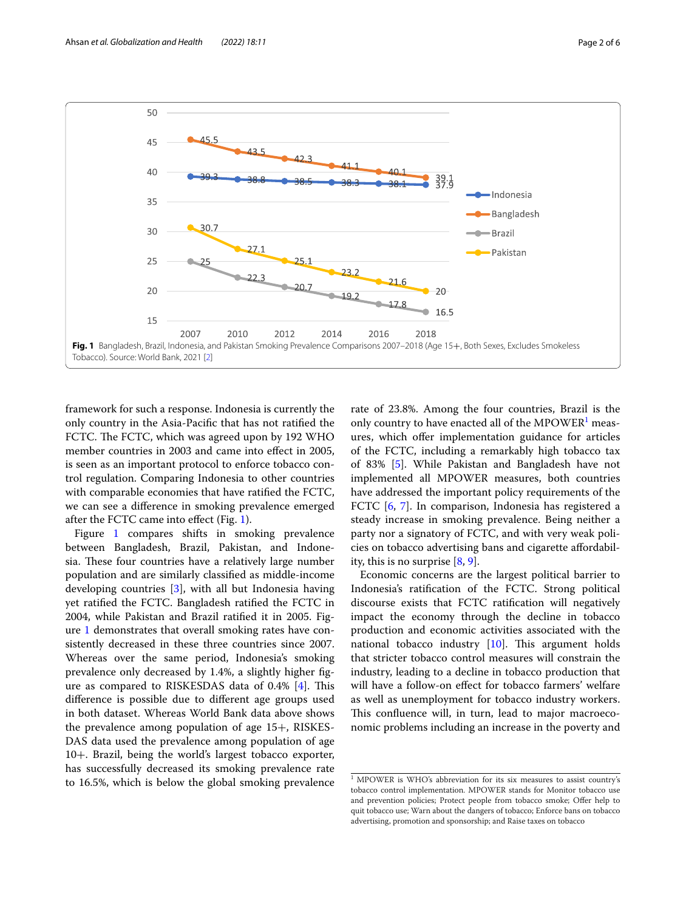

<span id="page-1-0"></span>framework for such a response. Indonesia is currently the only country in the Asia-Pacifc that has not ratifed the FCTC. The FCTC, which was agreed upon by 192 WHO member countries in 2003 and came into efect in 2005, is seen as an important protocol to enforce tobacco control regulation. Comparing Indonesia to other countries with comparable economies that have ratifed the FCTC, we can see a diference in smoking prevalence emerged after the FCTC came into efect (Fig. [1](#page-1-0)).

Figure [1](#page-1-0) compares shifts in smoking prevalence between Bangladesh, Brazil, Pakistan, and Indonesia. These four countries have a relatively large number population and are similarly classifed as middle-income developing countries [[3\]](#page-5-1), with all but Indonesia having yet ratifed the FCTC. Bangladesh ratifed the FCTC in 2004, while Pakistan and Brazil ratifed it in 2005. Figure [1](#page-1-0) demonstrates that overall smoking rates have consistently decreased in these three countries since 2007. Whereas over the same period, Indonesia's smoking prevalence only decreased by 1.4%, a slightly higher fgure as compared to RISKESDAS data of  $0.4\%$  [[4\]](#page-5-2). This diference is possible due to diferent age groups used in both dataset. Whereas World Bank data above shows the prevalence among population of age 15+, RISKES-DAS data used the prevalence among population of age 10+. Brazil, being the world's largest tobacco exporter, has successfully decreased its smoking prevalence rate to 16.5%, which is below the global smoking prevalence rate of 23.8%. Among the four countries, Brazil is the only country to have enacted all of the MPOWER $^1$  $^1$  measures, which ofer implementation guidance for articles of the FCTC, including a remarkably high tobacco tax of 83% [\[5\]](#page-5-3). While Pakistan and Bangladesh have not implemented all MPOWER measures, both countries have addressed the important policy requirements of the FCTC [[6,](#page-5-4) [7\]](#page-5-5). In comparison, Indonesia has registered a steady increase in smoking prevalence. Being neither a party nor a signatory of FCTC, and with very weak policies on tobacco advertising bans and cigarette afordability, this is no surprise [[8,](#page-5-6) [9](#page-5-7)].

Economic concerns are the largest political barrier to Indonesia's ratifcation of the FCTC. Strong political discourse exists that FCTC ratifcation will negatively impact the economy through the decline in tobacco production and economic activities associated with the national tobacco industry  $[10]$  $[10]$ . This argument holds that stricter tobacco control measures will constrain the industry, leading to a decline in tobacco production that will have a follow-on efect for tobacco farmers' welfare as well as unemployment for tobacco industry workers. This confluence will, in turn, lead to major macroeconomic problems including an increase in the poverty and

<span id="page-1-1"></span><sup>&</sup>lt;sup>1</sup> MPOWER is WHO's abbreviation for its six measures to assist country's tobacco control implementation. MPOWER stands for Monitor tobacco use and prevention policies; Protect people from tobacco smoke; Offer help to quit tobacco use; Warn about the dangers of tobacco; Enforce bans on tobacco advertising, promotion and sponsorship; and Raise taxes on tobacco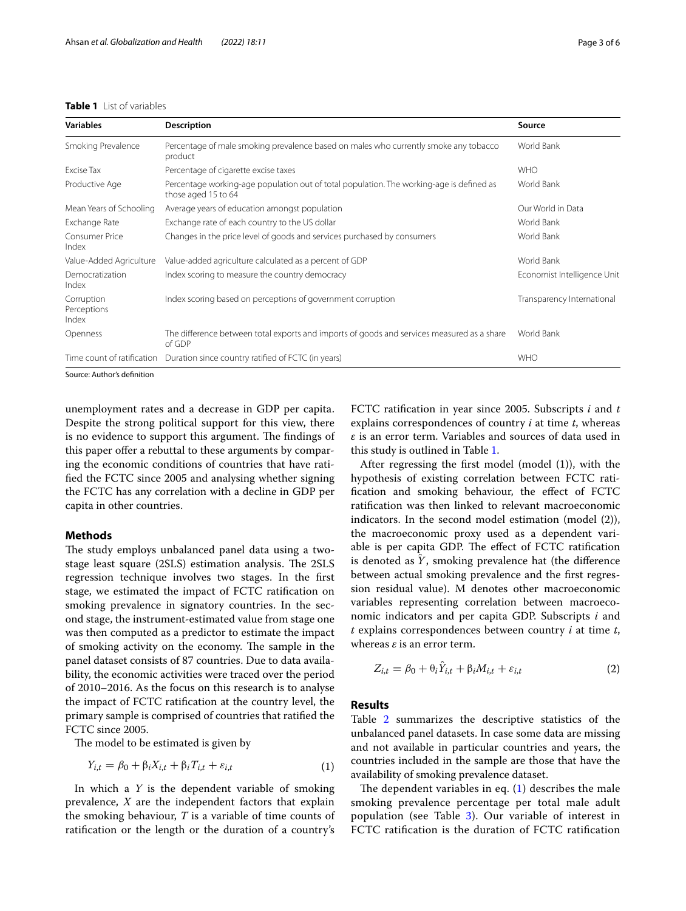# <span id="page-2-0"></span>**Table 1** List of variables

| <b>Variables</b>                   | <b>Description</b>                                                                                              | Source                      |
|------------------------------------|-----------------------------------------------------------------------------------------------------------------|-----------------------------|
| Smoking Prevalence                 | Percentage of male smoking prevalence based on males who currently smoke any tobacco<br>product                 | World Bank                  |
| Excise Tax                         | Percentage of cigarette excise taxes                                                                            | <b>WHO</b>                  |
| Productive Age                     | Percentage working-age population out of total population. The working-age is defined as<br>those aged 15 to 64 | World Bank                  |
| Mean Years of Schooling            | Average years of education amongst population                                                                   | Our World in Data           |
| Exchange Rate                      | Exchange rate of each country to the US dollar                                                                  | World Bank                  |
| Consumer Price<br>Index            | Changes in the price level of goods and services purchased by consumers                                         | World Bank                  |
| Value-Added Agriculture            | Value-added agriculture calculated as a percent of GDP                                                          | World Bank                  |
| Democratization<br>Index           | Index scoring to measure the country democracy                                                                  | Economist Intelligence Unit |
| Corruption<br>Perceptions<br>Index | Index scoring based on perceptions of government corruption                                                     | Transparency International  |
| Openness                           | The difference between total exports and imports of goods and services measured as a share<br>of GDP            | World Bank                  |
| Time count of ratification         | Duration since country ratified of FCTC (in years)                                                              | <b>WHO</b>                  |

Source: Author's defnition

unemployment rates and a decrease in GDP per capita. Despite the strong political support for this view, there is no evidence to support this argument. The findings of this paper offer a rebuttal to these arguments by comparing the economic conditions of countries that have ratifed the FCTC since 2005 and analysing whether signing the FCTC has any correlation with a decline in GDP per capita in other countries.

# **Methods**

The study employs unbalanced panel data using a twostage least square (2SLS) estimation analysis. The 2SLS regression technique involves two stages. In the frst stage, we estimated the impact of FCTC ratifcation on smoking prevalence in signatory countries. In the second stage, the instrument-estimated value from stage one was then computed as a predictor to estimate the impact of smoking activity on the economy. The sample in the panel dataset consists of 87 countries. Due to data availability, the economic activities were traced over the period of 2010–2016. As the focus on this research is to analyse the impact of FCTC ratifcation at the country level, the primary sample is comprised of countries that ratifed the FCTC since 2005.

The model to be estimated is given by

$$
Y_{i,t} = \beta_0 + \beta_i X_{i,t} + \beta_i T_{i,t} + \varepsilon_{i,t}
$$
 (1)

In which a *Y* is the dependent variable of smoking prevalence, *X* are the independent factors that explain the smoking behaviour, *T* is a variable of time counts of ratifcation or the length or the duration of a country's FCTC ratifcation in year since 2005. Subscripts *i* and *t* explains correspondences of country *i* at time *t*, whereas *ε* is an error term. Variables and sources of data used in this study is outlined in Table [1.](#page-2-0)

After regressing the frst model (model (1)), with the hypothesis of existing correlation between FCTC ratifcation and smoking behaviour, the efect of FCTC ratifcation was then linked to relevant macroeconomic indicators. In the second model estimation (model (2)), the macroeconomic proxy used as a dependent variable is per capita GDP. The effect of FCTC ratification is denoted as  $Y$ , smoking prevalence hat (the difference between actual smoking prevalence and the frst regression residual value). M denotes other macroeconomic variables representing correlation between macroeconomic indicators and per capita GDP. Subscripts *i* and *t* explains correspondences between country *i* at time *t*, whereas *ε* is an error term.

<span id="page-2-2"></span>
$$
Z_{i,t} = \beta_0 + \theta_i \hat{Y}_{i,t} + \beta_i M_{i,t} + \varepsilon_{i,t}
$$
 (2)

## **Results**

Table [2](#page-3-0) summarizes the descriptive statistics of the unbalanced panel datasets. In case some data are missing and not available in particular countries and years, the countries included in the sample are those that have the availability of smoking prevalence dataset.

<span id="page-2-1"></span>The dependent variables in eq.  $(1)$  $(1)$  describes the male smoking prevalence percentage per total male adult population (see Table  $3$ ). Our variable of interest in FCTC ratifcation is the duration of FCTC ratifcation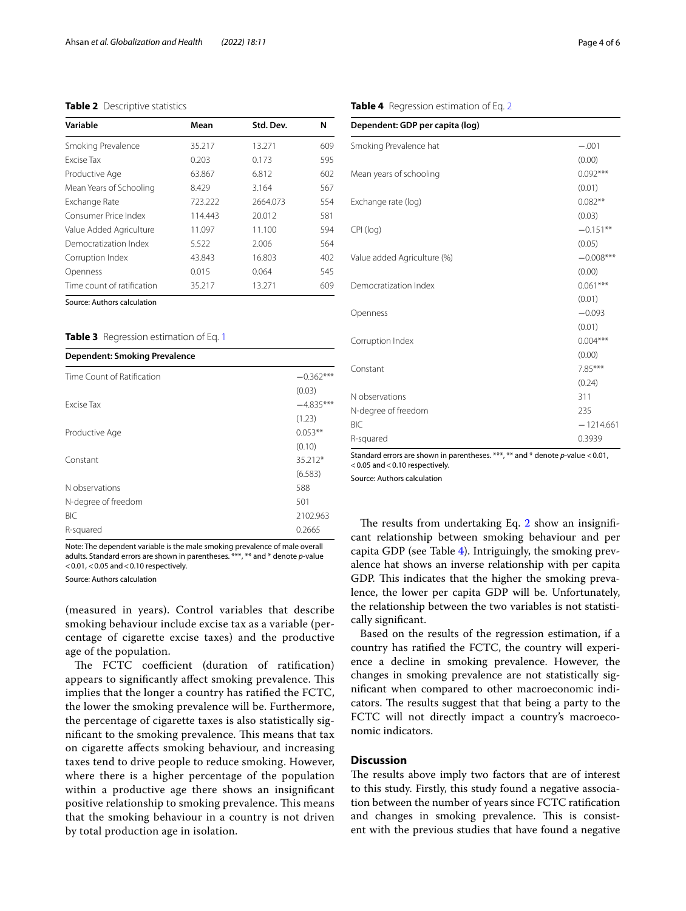# <span id="page-3-0"></span>**Table 2** Descriptive statistics

| Variable                   | Mean    | Std. Dev. | N   |
|----------------------------|---------|-----------|-----|
| Smoking Prevalence         | 35.217  | 13.271    | 609 |
| Excise Tax                 | 0.203   | 0.173     | 595 |
| Productive Age             | 63.867  | 6.812     | 602 |
| Mean Years of Schooling    | 8.429   | 3.164     | 567 |
| Exchange Rate              | 723,222 | 2664.073  | 554 |
| Consumer Price Index       | 114.443 | 20.012    | 581 |
| Value Added Agriculture    | 11.097  | 11.100    | 594 |
| Democratization Index      | 5.522   | 2.006     | 564 |
| Corruption Index           | 43.843  | 16.803    | 402 |
| Openness                   | 0.015   | 0.064     | 545 |
| Time count of ratification | 35.217  | 13.271    | 609 |

Source: Authors calculation

## <span id="page-3-1"></span>**Table 3** Regression estimation of Eq. [1](#page-2-1)

| <b>Dependent: Smoking Prevalence</b> |             |
|--------------------------------------|-------------|
| Time Count of Ratification           | $-0.362***$ |
|                                      | (0.03)      |
| <b>Excise Tax</b>                    | $-4.835***$ |
|                                      | (1.23)      |
| Productive Age                       | $0.053**$   |
|                                      | (0.10)      |
| Constant                             | $35.212*$   |
|                                      | (6.583)     |
| N observations                       | 588         |
| N-degree of freedom                  | 501         |
| <b>BIC</b>                           | 2102.963    |
| R-squared                            | 0.2665      |

Note: The dependent variable is the male smoking prevalence of male overall adults. Standard errors are shown in parentheses. \*\*\*, \*\* and \* denote *p*-value  $<$  0.01,  $<$  0.05 and  $<$  0.10 respectively.

Source: Authors calculation

(measured in years). Control variables that describe smoking behaviour include excise tax as a variable (percentage of cigarette excise taxes) and the productive age of the population.

The FCTC coefficient (duration of ratification) appears to significantly affect smoking prevalence. This implies that the longer a country has ratifed the FCTC, the lower the smoking prevalence will be. Furthermore, the percentage of cigarette taxes is also statistically significant to the smoking prevalence. This means that tax on cigarette afects smoking behaviour, and increasing taxes tend to drive people to reduce smoking. However, where there is a higher percentage of the population within a productive age there shows an insignifcant positive relationship to smoking prevalence. This means that the smoking behaviour in a country is not driven by total production age in isolation.

<span id="page-3-2"></span>**Table 4** Regression estimation of Eq. [2](#page-2-2)

| Dependent: GDP per capita (log) |             |  |  |  |
|---------------------------------|-------------|--|--|--|
| Smoking Prevalence hat          | $-.001$     |  |  |  |
|                                 | (0.00)      |  |  |  |
| Mean years of schooling         | $0.092***$  |  |  |  |
|                                 | (0.01)      |  |  |  |
| Exchange rate (log)             | $0.082**$   |  |  |  |
|                                 | (0.03)      |  |  |  |
| CPI (log)                       | $-0.151**$  |  |  |  |
|                                 | (0.05)      |  |  |  |
| Value added Agriculture (%)     | $-0.008***$ |  |  |  |
|                                 | (0.00)      |  |  |  |
| Democratization Index           | $0.061***$  |  |  |  |
|                                 | (0.01)      |  |  |  |
| Openness                        | $-0.093$    |  |  |  |
|                                 | (0.01)      |  |  |  |
| Corruption Index                | $0.004***$  |  |  |  |
|                                 | (0.00)      |  |  |  |
| Constant                        | 7.85***     |  |  |  |
|                                 | (0.24)      |  |  |  |
| N observations                  | 311         |  |  |  |
| N-degree of freedom             | 235         |  |  |  |
| <b>BIC</b>                      | $-1214.661$ |  |  |  |
| R-squared                       | 0.3939      |  |  |  |

Standard errors are shown in parentheses. \*\*\*, \*\* and \* denote *p*-value <0.01,  $<$  0.05 and  $<$  0.10 respectively.

Source: Authors calculation

The results from undertaking Eq.  $2$  show an insignificant relationship between smoking behaviour and per capita GDP (see Table [4\)](#page-3-2). Intriguingly, the smoking prevalence hat shows an inverse relationship with per capita GDP. This indicates that the higher the smoking prevalence, the lower per capita GDP will be. Unfortunately, the relationship between the two variables is not statistically signifcant.

Based on the results of the regression estimation, if a country has ratifed the FCTC, the country will experience a decline in smoking prevalence. However, the changes in smoking prevalence are not statistically signifcant when compared to other macroeconomic indicators. The results suggest that that being a party to the FCTC will not directly impact a country's macroeconomic indicators.

# **Discussion**

The results above imply two factors that are of interest to this study. Firstly, this study found a negative association between the number of years since FCTC ratifcation and changes in smoking prevalence. This is consistent with the previous studies that have found a negative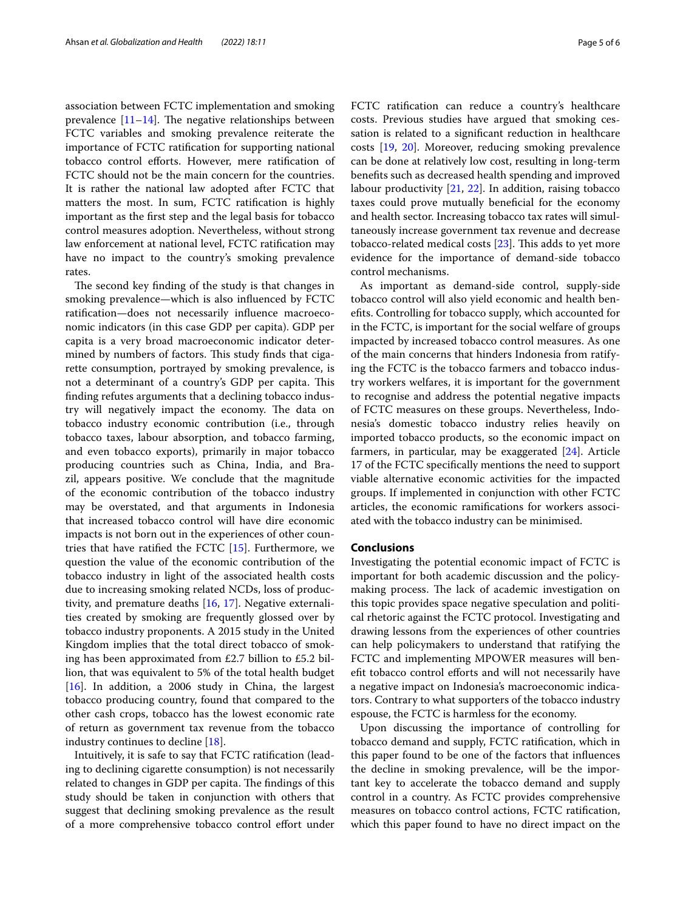association between FCTC implementation and smoking prevalence  $[11-14]$  $[11-14]$  $[11-14]$ . The negative relationships between FCTC variables and smoking prevalence reiterate the importance of FCTC ratifcation for supporting national tobacco control eforts. However, mere ratifcation of FCTC should not be the main concern for the countries. It is rather the national law adopted after FCTC that matters the most. In sum, FCTC ratifcation is highly important as the frst step and the legal basis for tobacco control measures adoption. Nevertheless, without strong law enforcement at national level, FCTC ratifcation may have no impact to the country's smoking prevalence rates.

The second key finding of the study is that changes in smoking prevalence—which is also infuenced by FCTC ratifcation—does not necessarily infuence macroeconomic indicators (in this case GDP per capita). GDP per capita is a very broad macroeconomic indicator determined by numbers of factors. This study finds that cigarette consumption, portrayed by smoking prevalence, is not a determinant of a country's GDP per capita. This fnding refutes arguments that a declining tobacco industry will negatively impact the economy. The data on tobacco industry economic contribution (i.e., through tobacco taxes, labour absorption, and tobacco farming, and even tobacco exports), primarily in major tobacco producing countries such as China, India, and Brazil, appears positive. We conclude that the magnitude of the economic contribution of the tobacco industry may be overstated, and that arguments in Indonesia that increased tobacco control will have dire economic impacts is not born out in the experiences of other countries that have ratifed the FCTC [[15\]](#page-5-12). Furthermore, we question the value of the economic contribution of the tobacco industry in light of the associated health costs due to increasing smoking related NCDs, loss of productivity, and premature deaths [[16,](#page-5-13) [17\]](#page-5-14). Negative externalities created by smoking are frequently glossed over by tobacco industry proponents. A 2015 study in the United Kingdom implies that the total direct tobacco of smoking has been approximated from £2.7 billion to £5.2 billion, that was equivalent to 5% of the total health budget [[16\]](#page-5-13). In addition, a 2006 study in China, the largest tobacco producing country, found that compared to the other cash crops, tobacco has the lowest economic rate of return as government tax revenue from the tobacco industry continues to decline [[18\]](#page-5-15).

Intuitively, it is safe to say that FCTC ratifcation (leading to declining cigarette consumption) is not necessarily related to changes in GDP per capita. The findings of this study should be taken in conjunction with others that suggest that declining smoking prevalence as the result of a more comprehensive tobacco control efort under FCTC ratifcation can reduce a country's healthcare costs. Previous studies have argued that smoking cessation is related to a signifcant reduction in healthcare costs [[19,](#page-5-16) [20\]](#page-5-17). Moreover, reducing smoking prevalence can be done at relatively low cost, resulting in long-term benefts such as decreased health spending and improved labour productivity [[21,](#page-5-18) [22](#page-5-19)]. In addition, raising tobacco taxes could prove mutually benefcial for the economy and health sector. Increasing tobacco tax rates will simultaneously increase government tax revenue and decrease tobacco-related medical costs  $[23]$ . This adds to yet more evidence for the importance of demand-side tobacco control mechanisms.

As important as demand-side control, supply-side tobacco control will also yield economic and health benefts. Controlling for tobacco supply, which accounted for in the FCTC, is important for the social welfare of groups impacted by increased tobacco control measures. As one of the main concerns that hinders Indonesia from ratifying the FCTC is the tobacco farmers and tobacco industry workers welfares, it is important for the government to recognise and address the potential negative impacts of FCTC measures on these groups. Nevertheless, Indonesia's domestic tobacco industry relies heavily on imported tobacco products, so the economic impact on farmers, in particular, may be exaggerated [\[24](#page-5-21)]. Article 17 of the FCTC specifcally mentions the need to support viable alternative economic activities for the impacted groups. If implemented in conjunction with other FCTC articles, the economic ramifcations for workers associated with the tobacco industry can be minimised.

# **Conclusions**

Investigating the potential economic impact of FCTC is important for both academic discussion and the policymaking process. The lack of academic investigation on this topic provides space negative speculation and political rhetoric against the FCTC protocol. Investigating and drawing lessons from the experiences of other countries can help policymakers to understand that ratifying the FCTC and implementing MPOWER measures will benefit tobacco control efforts and will not necessarily have a negative impact on Indonesia's macroeconomic indicators. Contrary to what supporters of the tobacco industry espouse, the FCTC is harmless for the economy.

Upon discussing the importance of controlling for tobacco demand and supply, FCTC ratifcation, which in this paper found to be one of the factors that infuences the decline in smoking prevalence, will be the important key to accelerate the tobacco demand and supply control in a country. As FCTC provides comprehensive measures on tobacco control actions, FCTC ratifcation, which this paper found to have no direct impact on the